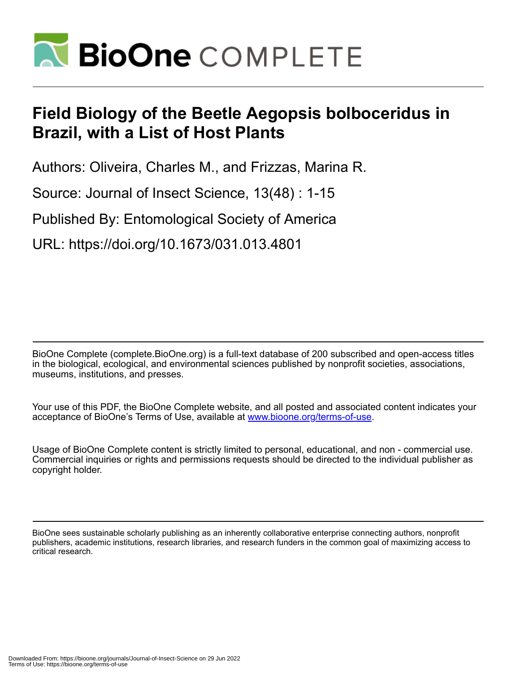

# **Field Biology of the Beetle Aegopsis bolboceridus in Brazil, with a List of Host Plants**

Authors: Oliveira, Charles M., and Frizzas, Marina R.

Source: Journal of Insect Science, 13(48) : 1-15

Published By: Entomological Society of America

URL: https://doi.org/10.1673/031.013.4801

BioOne Complete (complete.BioOne.org) is a full-text database of 200 subscribed and open-access titles in the biological, ecological, and environmental sciences published by nonprofit societies, associations, museums, institutions, and presses.

Your use of this PDF, the BioOne Complete website, and all posted and associated content indicates your acceptance of BioOne's Terms of Use, available at www.bioone.org/terms-of-use.

Usage of BioOne Complete content is strictly limited to personal, educational, and non - commercial use. Commercial inquiries or rights and permissions requests should be directed to the individual publisher as copyright holder.

BioOne sees sustainable scholarly publishing as an inherently collaborative enterprise connecting authors, nonprofit publishers, academic institutions, research libraries, and research funders in the common goal of maximizing access to critical research.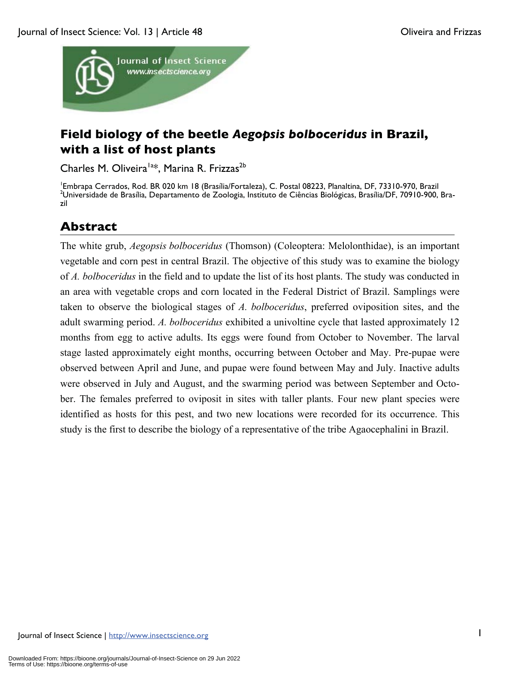

# **Field biology of the beetle** *Aegopsis bolboceridus* **in Brazil, with a list of host plants**

Charles M. Oliveira<sup>la\*</sup>, Marina R. Frizzas<sup>2b</sup>

<sup>1</sup>Embrapa Cerrados, Rod. BR 020 km 18 (Brasília/Fortaleza), C. Postal 08223, Planaltina, DF, 73310-970, Brazil<br><sup>2</sup>Llniversidade de Brasília, Departamento de Zoologia, Instituto de Ciências Biológicas, Brasília/DE, 70910,9 <sup>2</sup>Universidade de Brasília, Departamento de Zoologia, Instituto de Ciências Biológicas, Brasília/DF, 70910-900, Brazil

# **Abstract**

The white grub, *Aegopsis bolboceridus* (Thomson) (Coleoptera: Melolonthidae), is an important vegetable and corn pest in central Brazil. The objective of this study was to examine the biology of *A. bolboceridus* in the field and to update the list of its host plants. The study was conducted in an area with vegetable crops and corn located in the Federal District of Brazil. Samplings were taken to observe the biological stages of *A. bolboceridus*, preferred oviposition sites, and the adult swarming period. *A. bolboceridus* exhibited a univoltine cycle that lasted approximately 12 months from egg to active adults. Its eggs were found from October to November. The larval stage lasted approximately eight months, occurring between October and May. Pre-pupae were observed between April and June, and pupae were found between May and July. Inactive adults were observed in July and August, and the swarming period was between September and October. The females preferred to oviposit in sites with taller plants. Four new plant species were identified as hosts for this pest, and two new locations were recorded for its occurrence. This study is the first to describe the biology of a representative of the tribe Agaocephalini in Brazil.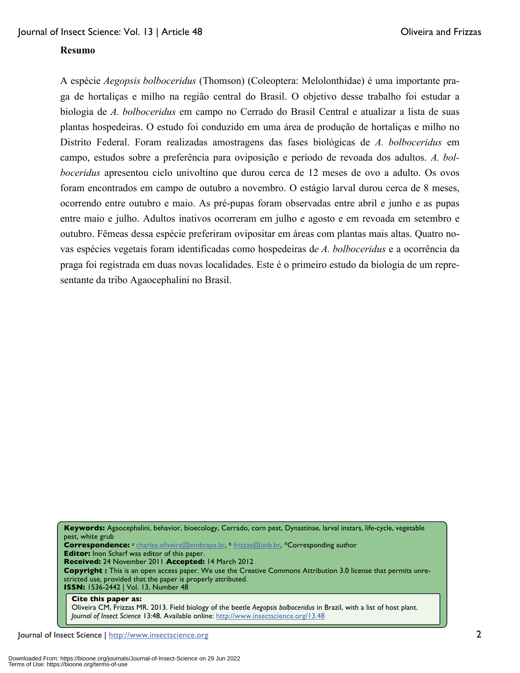#### **Resumo**

A espécie *Aegopsis bolboceridus* (Thomson) (Coleoptera: Melolonthidae) é uma importante praga de hortaliças e milho na região central do Brasil. O objetivo desse trabalho foi estudar a biologia de *A. bolboceridus* em campo no Cerrado do Brasil Central e atualizar a lista de suas plantas hospedeiras. O estudo foi conduzido em uma área de produção de hortaliças e milho no Distrito Federal. Foram realizadas amostragens das fases biológicas de *A. bolboceridus* em campo, estudos sobre a preferência para oviposição e período de revoada dos adultos. *A. bolboceridus* apresentou ciclo univoltino que durou cerca de 12 meses de ovo a adulto. Os ovos foram encontrados em campo de outubro a novembro. O estágio larval durou cerca de 8 meses, ocorrendo entre outubro e maio. As pré-pupas foram observadas entre abril e junho e as pupas entre maio e julho. Adultos inativos ocorreram em julho e agosto e em revoada em setembro e outubro. Fêmeas dessa espécie preferiram ovipositar em áreas com plantas mais altas. Quatro novas espécies vegetais foram identificadas como hospedeiras d*e A. bolboceridus* e a ocorrência da praga foi registrada em duas novas localidades. Este é o primeiro estudo da biologia de um representante da tribo Agaocephalini no Brasil.

**Keywords:** Agaocephalini, behavior, bioecology, Cerrado, corn pest, Dynastinae, larval instars, life-cycle, vegetable pest, white grub **Correspondence:** <sup>a</sup> charles.oliveira@embrapa.br, b frizzas@unb.br, \*Corresponding author **Editor:** Inon Scharf was editor of this paper. **Received:** 24 November 2011 **Accepted:** 14 March 2012 **Copyright :** This is an open access paper. We use the Creative Commons Attribution 3.0 license that permits unrestricted use, provided that the paper is properly attributed. **ISSN:** 1536-2442 | Vol. 13, Number 48 **Cite this paper as:** 

Oliveira CM, Frizzas MR. 2013. Field biology of the beetle *Aegopsis bolboceridus* in Brazil, with a list of host plant. *Journal of Insect Science* 13:48. Available online: http://www.insectscience.org/13.48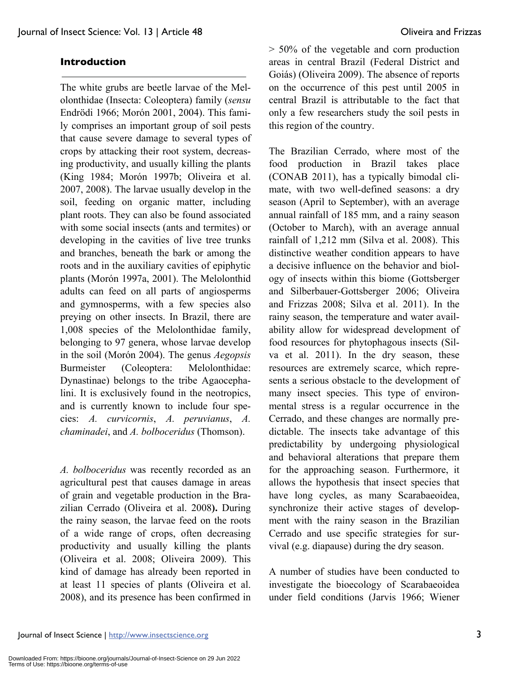## **Introduction**

The white grubs are beetle larvae of the Melolonthidae (Insecta: Coleoptera) family (*sensu*  Endrödi 1966; Morón 2001, 2004). This family comprises an important group of soil pests that cause severe damage to several types of crops by attacking their root system, decreasing productivity, and usually killing the plants (King 1984; Morón 1997b; Oliveira et al. 2007, 2008). The larvae usually develop in the soil, feeding on organic matter, including plant roots. They can also be found associated with some social insects (ants and termites) or developing in the cavities of live tree trunks and branches, beneath the bark or among the roots and in the auxiliary cavities of epiphytic plants (Morón 1997a, 2001). The Melolonthid adults can feed on all parts of angiosperms and gymnosperms, with a few species also preying on other insects. In Brazil, there are 1,008 species of the Melolonthidae family, belonging to 97 genera, whose larvae develop in the soil (Morón 2004). The genus *Aegopsis*  Burmeister (Coleoptera: Melolonthidae: Dynastinae) belongs to the tribe Agaocephalini. It is exclusively found in the neotropics, and is currently known to include four species: *A. curvicornis*, *A. peruvianus*, *A. chaminadei*, and *A. bolboceridus* (Thomson).

*A. bolboceridus* was recently recorded as an agricultural pest that causes damage in areas of grain and vegetable production in the Brazilian Cerrado (Oliveira et al. 2008**).** During the rainy season, the larvae feed on the roots of a wide range of crops, often decreasing productivity and usually killing the plants (Oliveira et al. 2008; Oliveira 2009). This kind of damage has already been reported in at least 11 species of plants (Oliveira et al. 2008), and its presence has been confirmed in > 50% of the vegetable and corn production areas in central Brazil (Federal District and Goiás) (Oliveira 2009). The absence of reports on the occurrence of this pest until 2005 in central Brazil is attributable to the fact that only a few researchers study the soil pests in this region of the country.

The Brazilian Cerrado, where most of the food production in Brazil takes place (CONAB 2011), has a typically bimodal climate, with two well-defined seasons: a dry season (April to September), with an average annual rainfall of 185 mm, and a rainy season (October to March), with an average annual rainfall of 1,212 mm (Silva et al. 2008). This distinctive weather condition appears to have a decisive influence on the behavior and biology of insects within this biome (Gottsberger and Silberbauer-Gottsberger 2006; Oliveira and Frizzas 2008; Silva et al. 2011). In the rainy season, the temperature and water availability allow for widespread development of food resources for phytophagous insects (Silva et al. 2011). In the dry season, these resources are extremely scarce, which represents a serious obstacle to the development of many insect species. This type of environmental stress is a regular occurrence in the Cerrado, and these changes are normally predictable. The insects take advantage of this predictability by undergoing physiological and behavioral alterations that prepare them for the approaching season. Furthermore, it allows the hypothesis that insect species that have long cycles, as many Scarabaeoidea, synchronize their active stages of development with the rainy season in the Brazilian Cerrado and use specific strategies for survival (e.g. diapause) during the dry season.

A number of studies have been conducted to investigate the bioecology of Scarabaeoidea under field conditions (Jarvis 1966; Wiener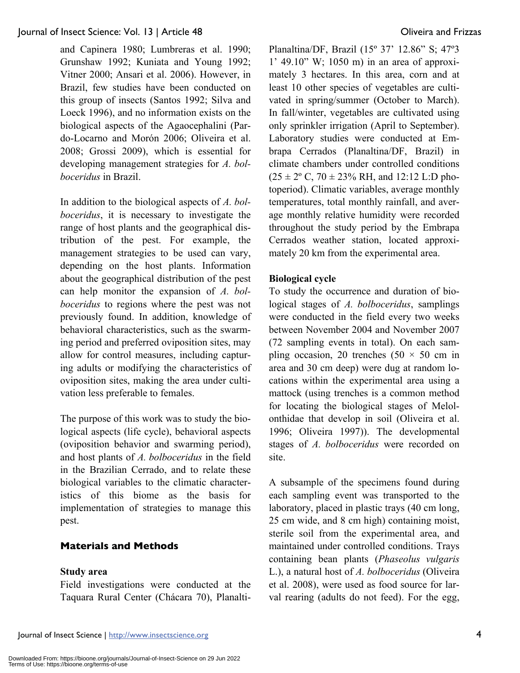and Capinera 1980; Lumbreras et al. 1990; Grunshaw 1992; Kuniata and Young 1992; Vitner 2000; Ansari et al. 2006). However, in Brazil, few studies have been conducted on this group of insects (Santos 1992; Silva and Loeck 1996), and no information exists on the biological aspects of the Agaocephalini (Pardo-Locarno and Morón 2006; Oliveira et al. 2008; Grossi 2009), which is essential for developing management strategies for *A. bolboceridus* in Brazil.

In addition to the biological aspects of *A. bolboceridus*, it is necessary to investigate the range of host plants and the geographical distribution of the pest. For example, the management strategies to be used can vary, depending on the host plants. Information about the geographical distribution of the pest can help monitor the expansion of *A. bolboceridus* to regions where the pest was not previously found. In addition, knowledge of behavioral characteristics, such as the swarming period and preferred oviposition sites, may allow for control measures, including capturing adults or modifying the characteristics of oviposition sites, making the area under cultivation less preferable to females.

The purpose of this work was to study the biological aspects (life cycle), behavioral aspects (oviposition behavior and swarming period), and host plants of *A. bolboceridus* in the field in the Brazilian Cerrado, and to relate these biological variables to the climatic characteristics of this biome as the basis for implementation of strategies to manage this pest.

#### **Materials and Methods**

#### **Study area**

Field investigations were conducted at the Taquara Rural Center (Chácara 70), PlanaltiPlanaltina/DF, Brazil (15º 37' 12.86" S; 47º3 1' 49.10" W; 1050 m) in an area of approximately 3 hectares. In this area, corn and at least 10 other species of vegetables are cultivated in spring/summer (October to March). In fall/winter, vegetables are cultivated using only sprinkler irrigation (April to September). Laboratory studies were conducted at Embrapa Cerrados (Planaltina/DF, Brazil) in climate chambers under controlled conditions  $(25 \pm 2^{\circ} \text{ C}, 70 \pm 23\% \text{ RH}, \text{ and } 12:12 \text{ L:}D \text{ pho-}$ toperiod). Climatic variables, average monthly temperatures, total monthly rainfall, and average monthly relative humidity were recorded throughout the study period by the Embrapa Cerrados weather station, located approximately 20 km from the experimental area.

#### **Biological cycle**

To study the occurrence and duration of biological stages of *A. bolboceridus*, samplings were conducted in the field every two weeks between November 2004 and November 2007 (72 sampling events in total). On each sampling occasion, 20 trenches (50  $\times$  50 cm in area and 30 cm deep) were dug at random locations within the experimental area using a mattock (using trenches is a common method for locating the biological stages of Melolonthidae that develop in soil (Oliveira et al. 1996; Oliveira 1997)). The developmental stages of *A. bolboceridus* were recorded on site.

A subsample of the specimens found during each sampling event was transported to the laboratory, placed in plastic trays (40 cm long, 25 cm wide, and 8 cm high) containing moist, sterile soil from the experimental area, and maintained under controlled conditions. Trays containing bean plants (*Phaseolus vulgaris* L.), a natural host of *A. bolboceridus* (Oliveira et al. 2008), were used as food source for larval rearing (adults do not feed). For the egg,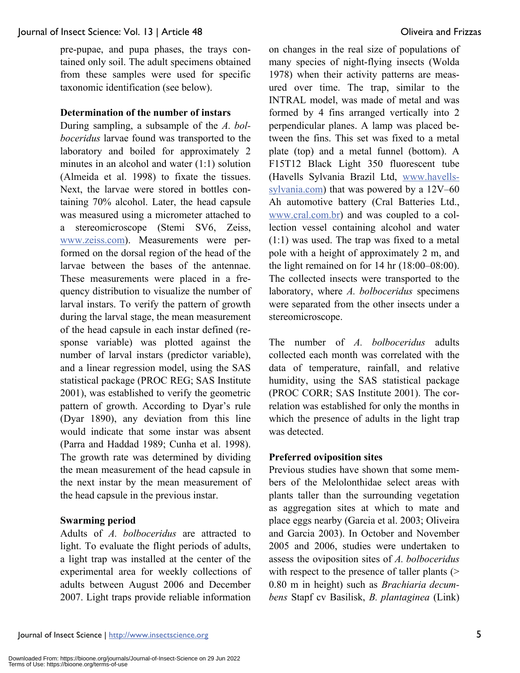pre-pupae, and pupa phases, the trays contained only soil. The adult specimens obtained from these samples were used for specific taxonomic identification (see below).

# **Determination of the number of instars**

During sampling, a subsample of the *A. bolboceridus* larvae found was transported to the laboratory and boiled for approximately 2 minutes in an alcohol and water (1:1) solution (Almeida et al. 1998) to fixate the tissues. Next, the larvae were stored in bottles containing 70% alcohol. Later, the head capsule was measured using a micrometer attached to a stereomicroscope (Stemi SV6, Zeiss, www.zeiss.com). Measurements were performed on the dorsal region of the head of the larvae between the bases of the antennae. These measurements were placed in a frequency distribution to visualize the number of larval instars. To verify the pattern of growth during the larval stage, the mean measurement of the head capsule in each instar defined (response variable) was plotted against the number of larval instars (predictor variable), and a linear regression model, using the SAS statistical package (PROC REG; SAS Institute 2001), was established to verify the geometric pattern of growth. According to Dyar's rule (Dyar 1890), any deviation from this line would indicate that some instar was absent (Parra and Haddad 1989; Cunha et al. 1998). The growth rate was determined by dividing the mean measurement of the head capsule in the next instar by the mean measurement of the head capsule in the previous instar.

#### **Swarming period**

Adults of *A. bolboceridus* are attracted to light. To evaluate the flight periods of adults, a light trap was installed at the center of the experimental area for weekly collections of adults between August 2006 and December 2007. Light traps provide reliable information on changes in the real size of populations of many species of night-flying insects (Wolda 1978) when their activity patterns are measured over time. The trap, similar to the INTRAL model, was made of metal and was formed by 4 fins arranged vertically into 2 perpendicular planes. A lamp was placed between the fins. This set was fixed to a metal plate (top) and a metal funnel (bottom). A F15T12 Black Light 350 fluorescent tube (Havells Sylvania Brazil Ltd, www.havellssylvania.com) that was powered by a 12V–60 Ah automotive battery (Cral Batteries Ltd., www.cral.com.br) and was coupled to a collection vessel containing alcohol and water (1:1) was used. The trap was fixed to a metal pole with a height of approximately 2 m, and the light remained on for 14 hr (18:00–08:00). The collected insects were transported to the laboratory, where *A. bolboceridus* specimens were separated from the other insects under a stereomicroscope.

The number of *A. bolboceridus* adults collected each month was correlated with the data of temperature, rainfall, and relative humidity, using the SAS statistical package (PROC CORR; SAS Institute 2001). The correlation was established for only the months in which the presence of adults in the light trap was detected.

#### **Preferred oviposition sites**

Previous studies have shown that some members of the Melolonthidae select areas with plants taller than the surrounding vegetation as aggregation sites at which to mate and place eggs nearby (Garcia et al. 2003; Oliveira and Garcia 2003). In October and November 2005 and 2006, studies were undertaken to assess the oviposition sites of *A. bolboceridus* with respect to the presence of taller plants (> 0.80 m in height) such as *Brachiaria decumbens* Stapf cv Basilisk, *B. plantaginea* (Link)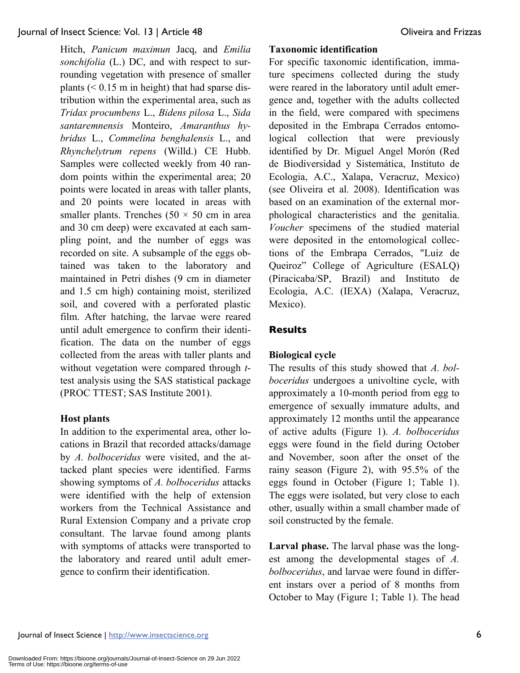Hitch, *Panicum maximun* Jacq, and *Emilia sonchifolia* (L.) DC, and with respect to surrounding vegetation with presence of smaller plants  $( $0.15 \text{ m}$  in height) that had sparse dis$ tribution within the experimental area, such as *Tridax procumbens* L., *Bidens pilosa* L., *Sida santaremnensis* Monteiro, *Amaranthus hybridus* L., *Commelina benghalensis* L., and *Rhynchelytrum repens* (Willd.) CE Hubb. Samples were collected weekly from 40 random points within the experimental area; 20 points were located in areas with taller plants, and 20 points were located in areas with smaller plants. Trenches  $(50 \times 50 \text{ cm})$  in area and 30 cm deep) were excavated at each sampling point, and the number of eggs was recorded on site. A subsample of the eggs obtained was taken to the laboratory and maintained in Petri dishes (9 cm in diameter and 1.5 cm high) containing moist, sterilized soil, and covered with a perforated plastic film. After hatching, the larvae were reared until adult emergence to confirm their identification. The data on the number of eggs collected from the areas with taller plants and without vegetation were compared through *t*test analysis using the SAS statistical package (PROC TTEST; SAS Institute 2001).

#### **Host plants**

In addition to the experimental area, other locations in Brazil that recorded attacks/damage by *A. bolboceridus* were visited, and the attacked plant species were identified. Farms showing symptoms of *A. bolboceridus* attacks were identified with the help of extension workers from the Technical Assistance and Rural Extension Company and a private crop consultant. The larvae found among plants with symptoms of attacks were transported to the laboratory and reared until adult emergence to confirm their identification.

#### **Taxonomic identification**

For specific taxonomic identification, immature specimens collected during the study were reared in the laboratory until adult emergence and, together with the adults collected in the field, were compared with specimens deposited in the Embrapa Cerrados entomological collection that were previously identified by Dr. Miguel Angel Morón (Red de Biodiversidad y Sistemática, Instituto de Ecologia, A.C., Xalapa, Veracruz, Mexico) (see Oliveira et al. 2008). Identification was based on an examination of the external morphological characteristics and the genitalia. *Voucher* specimens of the studied material were deposited in the entomological collections of the Embrapa Cerrados, "Luiz de Queiroz" College of Agriculture (ESALQ) (Piracicaba/SP, Brazil) and Instituto de Ecologia, A.C. (IEXA) (Xalapa, Veracruz, Mexico).

# **Results**

# **Biological cycle**

The results of this study showed that *A. bolboceridus* undergoes a univoltine cycle, with approximately a 10-month period from egg to emergence of sexually immature adults, and approximately 12 months until the appearance of active adults (Figure 1). *A. bolboceridus*  eggs were found in the field during October and November, soon after the onset of the rainy season (Figure 2), with 95.5% of the eggs found in October (Figure 1; Table 1). The eggs were isolated, but very close to each other, usually within a small chamber made of soil constructed by the female.

**Larval phase.** The larval phase was the longest among the developmental stages of *A. bolboceridus*, and larvae were found in different instars over a period of 8 months from October to May (Figure 1; Table 1). The head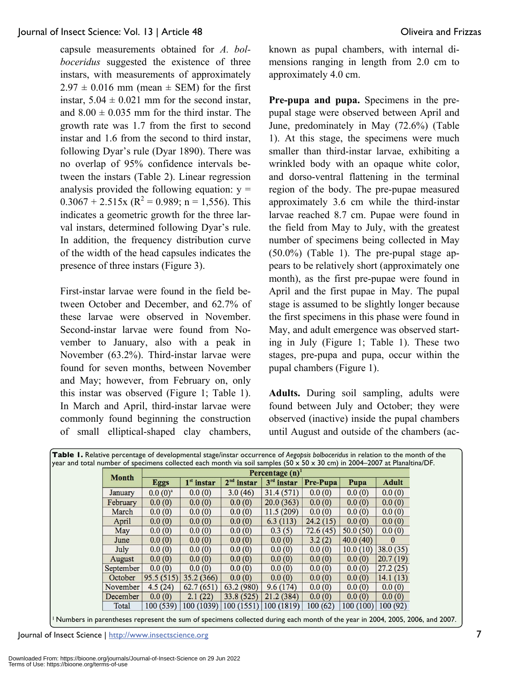capsule measurements obtained for *A. bolboceridus* suggested the existence of three instars, with measurements of approximately  $2.97 \pm 0.016$  mm (mean  $\pm$  SEM) for the first instar,  $5.04 \pm 0.021$  mm for the second instar, and  $8.00 \pm 0.035$  mm for the third instar. The growth rate was 1.7 from the first to second instar and 1.6 from the second to third instar, following Dyar's rule (Dyar 1890). There was no overlap of 95% confidence intervals between the instars (Table 2). Linear regression analysis provided the following equation:  $y =$  $0.3067 + 2.515x$  (R<sup>2</sup> = 0.989; n = 1,556). This indicates a geometric growth for the three larval instars, determined following Dyar's rule. In addition, the frequency distribution curve of the width of the head capsules indicates the presence of three instars (Figure 3).

First-instar larvae were found in the field between October and December, and 62.7% of these larvae were observed in November. Second-instar larvae were found from November to January, also with a peak in November (63.2%). Third-instar larvae were found for seven months, between November and May; however, from February on, only this instar was observed (Figure 1; Table 1). In March and April, third-instar larvae were commonly found beginning the construction of small elliptical-shaped clay chambers, known as pupal chambers, with internal dimensions ranging in length from 2.0 cm to approximately 4.0 cm.

**Pre-pupa and pupa.** Specimens in the prepupal stage were observed between April and June, predominately in May (72.6%) (Table 1). At this stage, the specimens were much smaller than third-instar larvae, exhibiting a wrinkled body with an opaque white color, and dorso-ventral flattening in the terminal region of the body. The pre-pupae measured approximately 3.6 cm while the third-instar larvae reached 8.7 cm. Pupae were found in the field from May to July, with the greatest number of specimens being collected in May  $(50.0\%)$  (Table 1). The pre-pupal stage appears to be relatively short (approximately one month), as the first pre-pupae were found in April and the first pupae in May. The pupal stage is assumed to be slightly longer because the first specimens in this phase were found in May, and adult emergence was observed starting in July (Figure 1; Table 1). These two stages, pre-pupa and pupa, occur within the pupal chambers (Figure 1).

**Adults.** During soil sampling, adults were found between July and October; they were observed (inactive) inside the pupal chambers until August and outside of the chambers (ac-

| Table 1. Relative percentage of developmental stage/instar occurrence of Aegopsis bolboceridus in relation to the month of the |              |                               |              |              |          |          |              |  |
|--------------------------------------------------------------------------------------------------------------------------------|--------------|-------------------------------|--------------|--------------|----------|----------|--------------|--|
| year and total number of specimens collected each month via soil samples (50 x 50 x 30 cm) in 2004-2007 at Planaltina/DF.      |              |                               |              |              |          |          |              |  |
| <b>Month</b>                                                                                                                   |              | Percentage $(n)$ <sup>1</sup> |              |              |          |          |              |  |
|                                                                                                                                | <b>Eggs</b>  | $1st$ instar                  | $2nd$ instar | $3rd$ instar | Pre-Pupa | Pupa     | <b>Adult</b> |  |
| January                                                                                                                        | $0.0(0)^{a}$ | 0.0(0)                        | 3.0(46)      | 31.4(571)    | 0.0(0)   | 0.0(0)   | 0.0(0)       |  |
| February                                                                                                                       | 0.0(0)       | 0.0(0)                        | 0.0(0)       | 20.0(363)    | 0.0(0)   | 0.0(0)   | 0.0(0)       |  |
| March                                                                                                                          | 0.0(0)       | 0.0(0)                        | 0.0(0)       | 11.5(209)    | 0.0(0)   | 0.0(0)   | 0.0(0)       |  |
| April                                                                                                                          | 0.0(0)       | 0.0(0)                        | 0.0(0)       | 6.3(113)     | 24.2(15) | 0.0(0)   | 0.0(0)       |  |
| May                                                                                                                            | 0.0(0)       | 0.0(0)                        | 0.0(0)       | 0.3(5)       | 72.6(45) | 50.0(50) | 0.0(0)       |  |
| June                                                                                                                           | 0.0(0)       | 0.0(0)                        | 0.0(0)       | 0.0(0)       | 3.2(2)   | 40.0(40) | $\bf{0}$     |  |
| July                                                                                                                           | 0.0(0)       | 0.0(0)                        | 0.0(0)       | 0.0(0)       | 0.0(0)   | 10.0(10) | 38.0(35)     |  |
| August                                                                                                                         | 0.0(0)       | 0.0(0)                        | 0.0(0)       | 0.0(0)       | 0.0(0)   | 0.0(0)   | 20.7(19)     |  |
| September                                                                                                                      | 0.0(0)       | 0.0(0)                        | 0.0(0)       | 0.0(0)       | 0.0(0)   | 0.0(0)   | 27.2(25)     |  |
| October                                                                                                                        | 95.5(515)    | 35.2 (366)                    | 0.0(0)       | 0.0(0)       | 0.0(0)   | 0.0(0)   | 14.1(13)     |  |
| November                                                                                                                       | 4.5(24)      | 62.7(651)                     | 63.2 (980)   | 9.6(174)     | 0.0(0)   | 0.0(0)   | 0.0(0)       |  |
| December                                                                                                                       | 0.0(0)       | 2.1(22)                       | 33.8(525)    | 21.2(384)    | 0.0(0)   | 0.0(0)   | 0.0(0)       |  |
| Total                                                                                                                          | 100 (539)    | 100 (1039)                    | 100 (1551)   | 100 (1819)   | 100(62)  | 100(100) | 100(92)      |  |

1 Numbers in parentheses represent the sum of specimens collected during each month of the year in 2004, 2005, 2006, and 2007.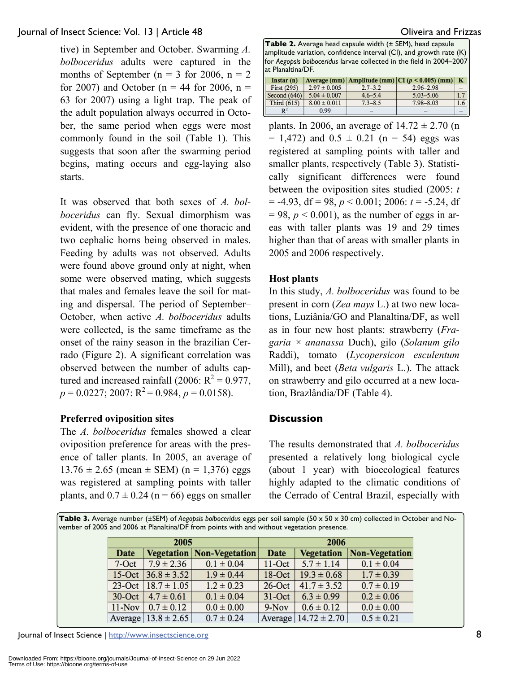tive) in September and October. Swarming *A. bolboceridus* adults were captured in the months of September ( $n = 3$  for 2006,  $n = 2$ ) for 2007) and October ( $n = 44$  for 2006,  $n =$ 63 for 2007) using a light trap. The peak of the adult population always occurred in October, the same period when eggs were most commonly found in the soil (Table 1). This suggests that soon after the swarming period begins, mating occurs and egg-laying also starts.

It was observed that both sexes of *A. bolboceridus* can fly. Sexual dimorphism was evident, with the presence of one thoracic and two cephalic horns being observed in males. Feeding by adults was not observed. Adults were found above ground only at night, when some were observed mating, which suggests that males and females leave the soil for mating and dispersal. The period of September– October, when active *A. bolboceridus* adults were collected, is the same timeframe as the onset of the rainy season in the brazilian Cerrado (Figure 2). A significant correlation was observed between the number of adults captured and increased rainfall (2006:  $R^2 = 0.977$ ,  $p = 0.0227$ ; 2007:  $R^2 = 0.984$ ,  $p = 0.0158$ ).

#### **Preferred oviposition sites**

The *A. bolboceridus* females showed a clear oviposition preference for areas with the presence of taller plants. In 2005, an average of  $13.76 \pm 2.65$  (mean  $\pm$  SEM) (n = 1,376) eggs was registered at sampling points with taller plants, and  $0.7 \pm 0.24$  (n = 66) eggs on smaller

**Table 2.** Average head capsule width (± SEM), head capsule amplitude variation, confidence interval (CI), and growth rate (K) for *Aegopsis bolboceridus* larvae collected in the field in 2004–2007 at Planaltina/DF.

| $Instar(n)$    |                  |             | Average (mm) Amplitude (mm) $ CI (p < 0.005)$ (mm) K |     |
|----------------|------------------|-------------|------------------------------------------------------|-----|
| First $(295)$  | $2.97 \pm 0.005$ | $2.7 - 3.2$ | $2.96 - 2.98$                                        |     |
| Second $(646)$ | $5.04 \pm 0.007$ | $4.6 - 5.4$ | $5.03 - 5.06$                                        |     |
| Third $(615)$  | $8.00 \pm 0.011$ | $7.3 - 8.5$ | $7.98 - 8.03$                                        | 1.6 |
| $R^2$          | 0.99             |             |                                                      |     |

plants. In 2006, an average of  $14.72 \pm 2.70$  (n  $= 1,472$ ) and  $0.5 \pm 0.21$  (n = 54) eggs was registered at sampling points with taller and smaller plants, respectively (Table 3). Statistically significant differences were found between the oviposition sites studied (2005: *t*  $= -4.93$ , df  $= 98$ ,  $p < 0.001$ ; 2006:  $t = -5.24$ , df  $= 98$ ,  $p < 0.001$ ), as the number of eggs in areas with taller plants was 19 and 29 times higher than that of areas with smaller plants in 2005 and 2006 respectively.

#### **Host plants**

In this study, *A. bolboceridus* was found to be present in corn (*Zea mays* L.) at two new locations, Luziânia/GO and Planaltina/DF, as well as in four new host plants: strawberry (*Fragaria × ananassa* Duch), gilo (*Solanum gilo* Raddi), tomato (*Lycopersicon esculentum* Mill), and beet (*Beta vulgaris* L.). The attack on strawberry and gilo occurred at a new location, Brazlândia/DF (Table 4).

#### **Discussion**

The results demonstrated that *A. bolboceridus* presented a relatively long biological cycle (about 1 year) with bioecological features highly adapted to the climatic conditions of the Cerrado of Central Brazil, especially with

**Table 3.** Average number (±SEM) of *Aegopsis bolboceridus* eggs per soil sample (50 x 50 x 30 cm) collected in October and November of 2005 and 2006 at Planaltina/DF from points with and without vegetation presence.

|           | 2005                      |                                  | 2006       |                          |                |  |
|-----------|---------------------------|----------------------------------|------------|--------------------------|----------------|--|
| Date      |                           | <b>Vegetation Non-Vegetation</b> | Date       | <b>Vegetation</b>        | Non-Vegetation |  |
| $7-Oct$   | $7.9 \pm 2.36$            | $0.1 \pm 0.04$                   | $11$ -Oct  | $5.7 \pm 1.14$           | $0.1 \pm 0.04$ |  |
| $15-Oct$  | $ 36.8 \pm 3.52 $         | $1.9 \pm 0.44$                   | $18$ -Oct  | $19.3 \pm 0.68$          | $1.7 \pm 0.39$ |  |
|           | 23-Oct $18.7 \pm 1.05$    | $1.2 \pm 0.23$                   | $26$ -Oct  | $41.7 \pm 3.52$          | $0.7 \pm 0.19$ |  |
| $30$ -Oct | $4.7 \pm 0.61$            | $0.1 \pm 0.04$                   | $31 - Oct$ | $6.3 \pm 0.99$           | $0.2 \pm 0.06$ |  |
| $11-Nov$  | $0.7 \pm 0.12$            | $0.0 \pm 0.00$                   | $9-Nov$    | $0.6 \pm 0.12$           | $0.0 \pm 0.00$ |  |
|           | Average $ 13.8 \pm 2.65 $ | $0.7 \pm 0.24$                   |            | Average $14.72 \pm 2.70$ | $0.5 \pm 0.21$ |  |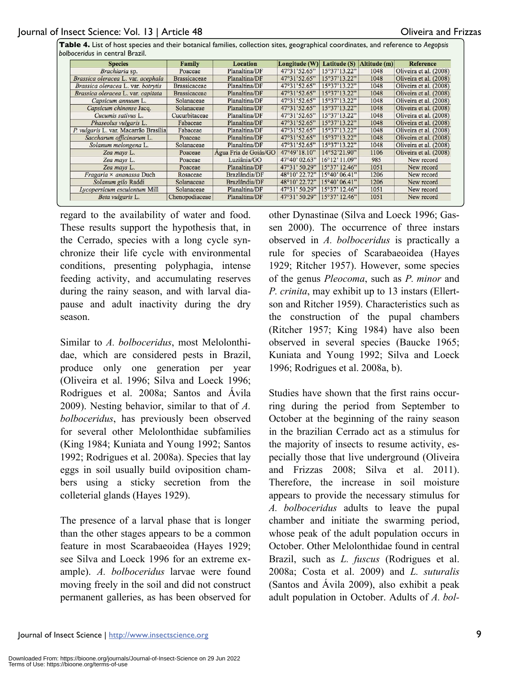**Table 4.** List of host species and their botanical families, collection sites, geographical coordinates, and reference to *Aegopsis bolboceridus* in central Brazil.

| <b>Species</b>                        | Family              | Location              | Longitude (W) | Latitude (S)           | Altitude (m) | Reference              |
|---------------------------------------|---------------------|-----------------------|---------------|------------------------|--------------|------------------------|
| Brachiaria sp.                        | Poaceae             | Planaltina/DF         | 47°31'52.65"  | 15°37'13.22"           | 1048         | Oliveira et al. (2008) |
| Brassica oleracea L. var. acephala    | <b>Brassicaceae</b> | Planaltina/DF         | 47°31'52.65"  | 15°37'13.22"           | 1048         | Oliveira et al. (2008) |
| Brassica oleracea L. var. botrytis    | <b>Brassicaceae</b> | Planaltina/DF         | 47°31'52.65"  | 15°37'13.22"           | 1048         | Oliveira et al. (2008) |
| Brassica oleracea L. var. capitata    | <b>Brassicaceae</b> | Planaltina/DF         | 47°31'52.65"  | 15°37'13.22"           | 1048         | Oliveira et al. (2008) |
| Capsicum annuum L.                    | Solanaceae          | Planaltina/DF         | 47°31'52.65"  | 15°37'13.22"           | 1048         | Oliveira et al. (2008) |
| Capsicum chinense Jacq.               | Solanaceae          | Planaltina/DF         | 47°31'52.65"  | 15°37'13.22"           | 1048         | Oliveira et al. (2008) |
| Cucumis sativus L.                    | Cucurbitaceae       | Planaltina/DF         | 47°31'52.65"  | 15°37'13.22"           | 1048         | Oliveira et al. (2008) |
| Phaseolus vulgaris L.                 | Fabaceae            | Planaltina/DF         | 47°31'52.65"  | 15°37'13.22"           | 1048         | Oliveira et al. (2008) |
| P. vulgaris L. var. Macarrão Brasília | Fabaceae            | Planaltina/DF         | 47°31'52.65"  | 15°37'13.22"           | 1048         | Oliveira et al. (2008) |
| Saccharum officinarum L.              | Poaceae             | Planaltina/DF         | 47°31'52.65"  | 15°37'13.22"           | 1048         | Oliveira et al. (2008) |
| Solanum melongena L.                  | Solanaceae          | Planaltina/DF         | 47°31'52.65"  | 15°37'13.22"           | 1048         | Oliveira et al. (2008) |
| Zea mays L.                           | Poaceae             | Agua Fria de Goiás/GO | 47°49'18.10"  | 14°52'21.90"           | 1106         | Oliveira et al. (2008) |
| Zea mays L.                           | Poaceae             | Luziânia/GO           | 47°40' 02.63" | $16^{\circ}12'$ 11.09" | 985          | New record             |
| Zea mays L.                           | Poaceae             | Planaltina/DF         | 47°31' 50.29" | $15°37'$ 12.46"        | 1051         | New record             |
| Fragaria × ananassa Duch              | Rosaceae            | Brazlândia/DF         | 48°10' 22.72" | 15°40'06.41"           | 1206         | New record             |
| Solanum gilo Raddi                    | Solanaceae          | Brazlândia/DF         | 48°10' 22.72" | $15^{\circ}40'06.41"$  | 1206         | New record             |
| Lycopersicum esculentum Mill          | Solanaceae          | Planaltina/DF         | 47°31' 50.29" | 15°37'12.46"           | 1051         | New record             |
| Beta vulgaris L.                      | Chenopodiaceae      | Planaltina/DF         | 47°31' 50.29" | $15°37'$ 12.46"        | 1051         | New record             |

regard to the availability of water and food. These results support the hypothesis that, in the Cerrado, species with a long cycle synchronize their life cycle with environmental conditions, presenting polyphagia, intense feeding activity, and accumulating reserves during the rainy season, and with larval diapause and adult inactivity during the dry season.

Similar to *A. bolboceridus*, most Melolonthidae, which are considered pests in Brazil, produce only one generation per year (Oliveira et al. 1996; Silva and Loeck 1996; Rodrigues et al. 2008a; Santos and Ávila 2009). Nesting behavior, similar to that of *A. bolboceridus*, has previously been observed for several other Melolonthidae subfamilies (King 1984; Kuniata and Young 1992; Santos 1992; Rodrigues et al. 2008a). Species that lay eggs in soil usually build oviposition chambers using a sticky secretion from the colleterial glands (Hayes 1929).

The presence of a larval phase that is longer than the other stages appears to be a common feature in most Scarabaeoidea (Hayes 1929; see Silva and Loeck 1996 for an extreme example). *A. bolboceridus* larvae were found moving freely in the soil and did not construct permanent galleries, as has been observed for other Dynastinae (Silva and Loeck 1996; Gassen 2000). The occurrence of three instars observed in *A. bolboceridus* is practically a rule for species of Scarabaeoidea (Hayes 1929; Ritcher 1957). However, some species of the genus *Pleocoma*, such as *P. minor* and *P. crinita*, may exhibit up to 13 instars (Ellertson and Ritcher 1959). Characteristics such as the construction of the pupal chambers (Ritcher 1957; King 1984) have also been observed in several species (Baucke 1965; Kuniata and Young 1992; Silva and Loeck 1996; Rodrigues et al. 2008a, b).

Studies have shown that the first rains occurring during the period from September to October at the beginning of the rainy season in the brazilian Cerrado act as a stimulus for the majority of insects to resume activity, especially those that live underground (Oliveira and Frizzas 2008; Silva et al. 2011). Therefore, the increase in soil moisture appears to provide the necessary stimulus for *A. bolboceridus* adults to leave the pupal chamber and initiate the swarming period, whose peak of the adult population occurs in October. Other Melolonthidae found in central Brazil, such as *L. fuscus* (Rodrigues et al. 2008a; Costa et al. 2009) and *L. suturalis* (Santos and Ávila 2009), also exhibit a peak adult population in October. Adults of *A. bol-*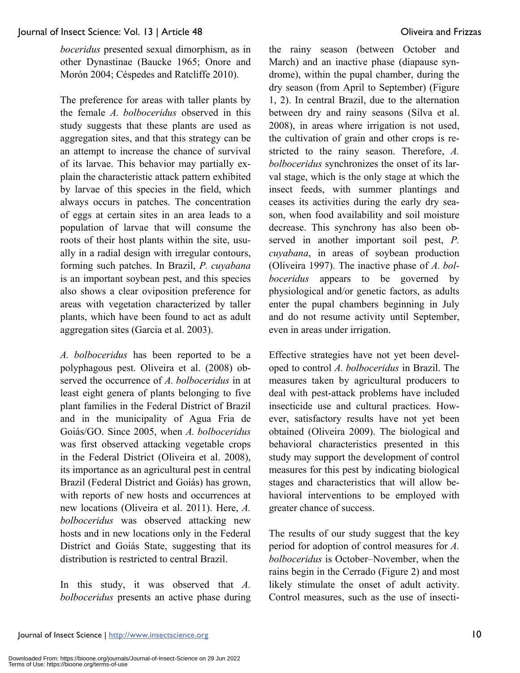*boceridus* presented sexual dimorphism, as in other Dynastinae (Baucke 1965; Onore and Morón 2004; Céspedes and Ratcliffe 2010).

The preference for areas with taller plants by the female *A. bolboceridus* observed in this study suggests that these plants are used as aggregation sites, and that this strategy can be an attempt to increase the chance of survival of its larvae. This behavior may partially explain the characteristic attack pattern exhibited by larvae of this species in the field, which always occurs in patches. The concentration of eggs at certain sites in an area leads to a population of larvae that will consume the roots of their host plants within the site, usually in a radial design with irregular contours, forming such patches. In Brazil, *P. cuyabana* is an important soybean pest, and this species also shows a clear oviposition preference for areas with vegetation characterized by taller plants, which have been found to act as adult aggregation sites (Garcia et al. 2003).

*A. bolboceridus* has been reported to be a polyphagous pest. Oliveira et al. (2008) observed the occurrence of *A. bolboceridus* in at least eight genera of plants belonging to five plant families in the Federal District of Brazil and in the municipality of Agua Fria de Goiás/GO. Since 2005, when *A. bolboceridus*  was first observed attacking vegetable crops in the Federal District (Oliveira et al. 2008), its importance as an agricultural pest in central Brazil (Federal District and Goiás) has grown, with reports of new hosts and occurrences at new locations (Oliveira et al. 2011). Here, *A. bolboceridus* was observed attacking new hosts and in new locations only in the Federal District and Goiás State, suggesting that its distribution is restricted to central Brazil.

In this study, it was observed that *A. bolboceridus* presents an active phase during the rainy season (between October and March) and an inactive phase (diapause syndrome), within the pupal chamber, during the dry season (from April to September) (Figure 1, 2). In central Brazil, due to the alternation between dry and rainy seasons (Silva et al. 2008), in areas where irrigation is not used, the cultivation of grain and other crops is restricted to the rainy season. Therefore, *A. bolboceridus* synchronizes the onset of its larval stage, which is the only stage at which the insect feeds, with summer plantings and ceases its activities during the early dry season, when food availability and soil moisture decrease. This synchrony has also been observed in another important soil pest, *P. cuyabana*, in areas of soybean production (Oliveira 1997). The inactive phase of *A. bolboceridus* appears to be governed by physiological and/or genetic factors, as adults enter the pupal chambers beginning in July and do not resume activity until September, even in areas under irrigation.

Effective strategies have not yet been developed to control *A. bolboceridus* in Brazil. The measures taken by agricultural producers to deal with pest-attack problems have included insecticide use and cultural practices. However, satisfactory results have not yet been obtained (Oliveira 2009). The biological and behavioral characteristics presented in this study may support the development of control measures for this pest by indicating biological stages and characteristics that will allow behavioral interventions to be employed with greater chance of success.

The results of our study suggest that the key period for adoption of control measures for *A. bolboceridus* is October–November, when the rains begin in the Cerrado (Figure 2) and most likely stimulate the onset of adult activity. Control measures, such as the use of insecti-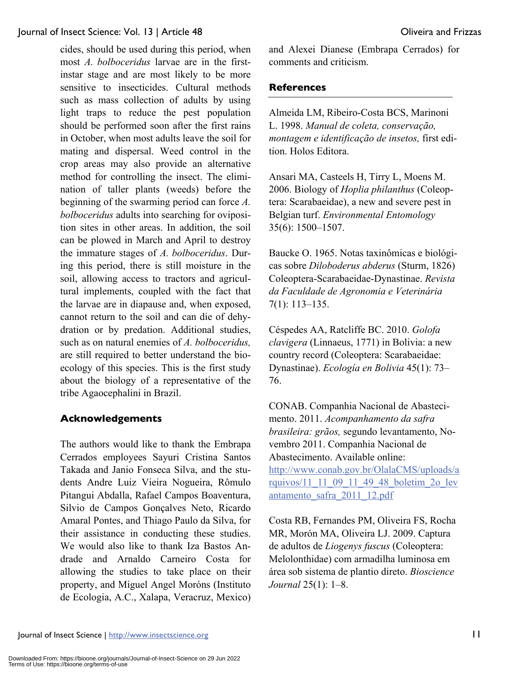cides, should be used during this period, when most *A. bolboceridus* larvae are in the firstinstar stage and are most likely to be more sensitive to insecticides. Cultural methods such as mass collection of adults by using light traps to reduce the pest population should be performed soon after the first rains in October, when most adults leave the soil for mating and dispersal. Weed control in the crop areas may also provide an alternative method for controlling the insect. The elimination of taller plants (weeds) before the beginning of the swarming period can force *A. bolboceridus* adults into searching for oviposition sites in other areas. In addition, the soil can be plowed in March and April to destroy the immature stages of *A. bolboceridus*. During this period, there is still moisture in the soil, allowing access to tractors and agricultural implements, coupled with the fact that the larvae are in diapause and, when exposed, cannot return to the soil and can die of dehydration or by predation. Additional studies, such as on natural enemies of *A. bolboceridus,* are still required to better understand the bioecology of this species. This is the first study about the biology of a representative of the tribe Agaocephalini in Brazil.

# **Acknowledgements**

The authors would like to thank the Embrapa Cerrados employees Sayuri Cristina Santos Takada and Janio Fonseca Silva, and the students Andre Luiz Vieira Nogueira, Rômulo Pitangui Abdalla, Rafael Campos Boaventura, Silvio de Campos Gonçalves Neto, Ricardo Amaral Pontes, and Thiago Paulo da Silva, for their assistance in conducting these studies. We would also like to thank Iza Bastos Andrade and Arnaldo Carneiro Costa for allowing the studies to take place on their property, and Miguel Angel Moróns (Instituto de Ecologia, A.C., Xalapa, Veracruz, Mexico) and Alexei Dianese (Embrapa Cerrados) for comments and criticism.

# **References**

Almeida LM, Ribeiro-Costa BCS, Marinoni L. 1998. *Manual de coleta, conservação, montagem e identificação de insetos,* first edition. Holos Editora.

Ansari MA, Casteels H, Tirry L, Moens M. 2006. Biology of *Hoplia philanthus* (Coleoptera: Scarabaeidae), a new and severe pest in Belgian turf. *Environmental Entomology* 35(6): 1500–1507.

Baucke O. 1965. Notas taxinômicas e biológicas sobre *Diloboderus abderus* (Sturm, 1826) Coleoptera-Scarabaeidae-Dynastinae. *Revista da Faculdade de Agronomia e Veterinária* 7(1): 113–135.

Céspedes AA, Ratcliffe BC. 2010. *Golofa clavigera* (Linnaeus, 1771) in Bolivia: a new country record (Coleoptera: Scarabaeidae: Dynastinae). *Ecología en Bolivia* 45(1): 73– 76.

CONAB. Companhia Nacional de Abastecimento. 2011. *Acompanhamento da safra brasileira: grãos,* segundo levantamento, Novembro 2011. Companhia Nacional de Abastecimento. Available online: http://www.conab.gov.br/OlalaCMS/uploads/a rquivos/11\_11\_09\_11\_49\_48\_boletim\_2o\_lev

antamento\_safra\_2011\_12.pdf

Costa RB, Fernandes PM, Oliveira FS, Rocha MR, Morón MA, Oliveira LJ. 2009. Captura de adultos de *Liogenys fuscus* (Coleoptera: Melolonthidae) com armadilha luminosa em área sob sistema de plantio direto. *Bioscience Journal* 25(1): 1–8.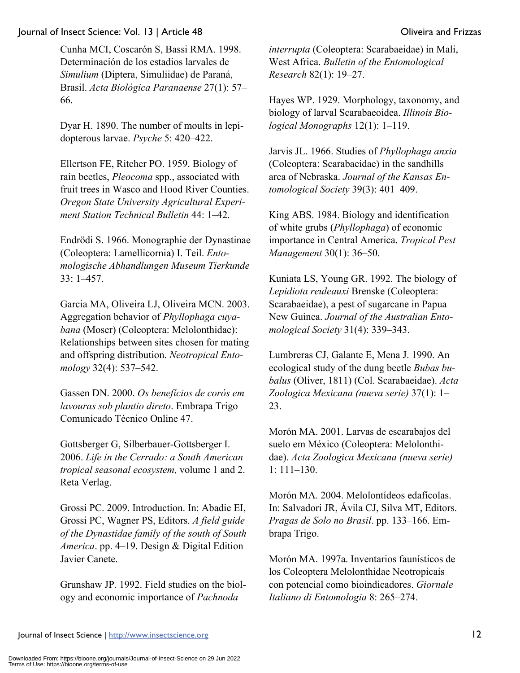Cunha MCI, Coscarón S, Bassi RMA. 1998. Determinación de los estadios larvales de *Simulium* (Diptera, Simuliidae) de Paraná, Brasil. *Acta Biológica Paranaense* 27(1): 57– 66.

Dyar H. 1890. The number of moults in lepidopterous larvae. *Psyche* 5: 420–422.

Ellertson FE, Ritcher PO. 1959. Biology of rain beetles, *Pleocoma* spp., associated with fruit trees in Wasco and Hood River Counties. *Oregon State University Agricultural Experiment Station Technical Bulletin* 44: 1–42.

Endrödi S. 1966. Monographie der Dynastinae (Coleoptera: Lamellicornia) I. Teil. *Entomologische Abhandlungen Museum Tierkunde* 33: 1–457.

Garcia MA, Oliveira LJ, Oliveira MCN. 2003. Aggregation behavior of *Phyllophaga cuyabana* (Moser) (Coleoptera: Melolonthidae): Relationships between sites chosen for mating and offspring distribution. *Neotropical Entomology* 32(4): 537–542.

Gassen DN. 2000. *Os benefícios de corós em lavouras sob plantio direto*. Embrapa Trigo Comunicado Técnico Online 47.

Gottsberger G, Silberbauer-Gottsberger I. 2006. *Life in the Cerrado: a South American tropical seasonal ecosystem,* volume 1 and 2. Reta Verlag.

Grossi PC. 2009. Introduction. In: Abadie EI, Grossi PC, Wagner PS, Editors. *A field guide of the Dynastidae family of the south of South America*. pp. 4–19. Design & Digital Edition Javier Canete.

Grunshaw JP. 1992. Field studies on the biology and economic importance of *Pachnoda* 

*interrupta* (Coleoptera: Scarabaeidae) in Mali, West Africa. *Bulletin of the Entomological Research* 82(1): 19–27.

Hayes WP. 1929. Morphology, taxonomy, and biology of larval Scarabaeoidea. *Illinois Biological Monographs* 12(1): 1–119.

Jarvis JL. 1966. Studies of *Phyllophaga anxia* (Coleoptera: Scarabaeidae) in the sandhills area of Nebraska. *Journal of the Kansas Entomological Society* 39(3): 401–409.

King ABS. 1984. Biology and identification of white grubs (*Phyllophaga*) of economic importance in Central America. *Tropical Pest Management* 30(1): 36–50.

Kuniata LS, Young GR. 1992. The biology of *Lepidiota reuleauxi* Brenske (Coleoptera: Scarabaeidae), a pest of sugarcane in Papua New Guinea. *Journal of the Australian Entomological Society* 31(4): 339–343.

Lumbreras CJ, Galante E, Mena J. 1990. An ecological study of the dung beetle *Bubas bubalus* (Oliver, 1811) (Col. Scarabaeidae). *Acta Zoologica Mexicana (nueva serie)* 37(1): 1– 23.

Morón MA. 2001. Larvas de escarabajos del suelo em México (Coleoptera: Melolonthidae). *Acta Zoologica Mexicana (nueva serie)* 1: 111–130.

Morón MA. 2004. Melolontídeos edafícolas. In: Salvadori JR, Ávila CJ, Silva MT, Editors. *Pragas de Solo no Brasil*. pp. 133–166. Embrapa Trigo.

Morón MA. 1997a. Inventarios faunísticos de los Coleoptera Melolonthidae Neotropicais con potencial como bioindicadores. *Giornale Italiano di Entomologia* 8: 265–274.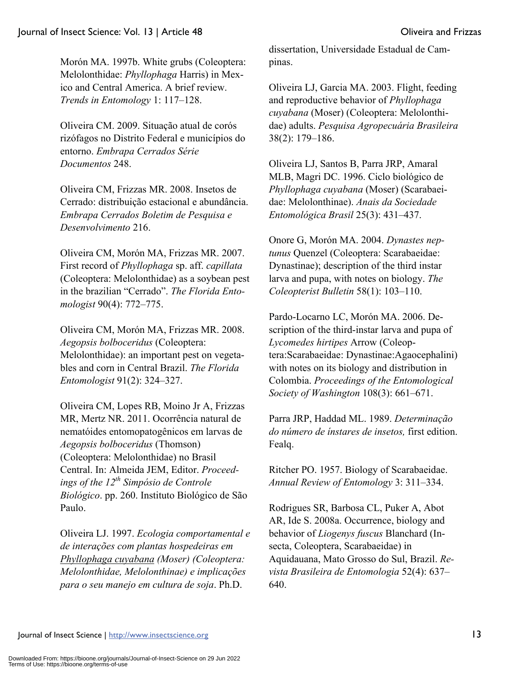Morón MA. 1997b. White grubs (Coleoptera: Melolonthidae: *Phyllophaga* Harris) in Mexico and Central America. A brief review. *Trends in Entomology* 1: 117–128.

Oliveira CM. 2009. Situação atual de corós rizófagos no Distrito Federal e municípios do entorno. *Embrapa Cerrados Série Documentos* 248.

Oliveira CM, Frizzas MR. 2008. Insetos de Cerrado: distribuição estacional e abundância. *Embrapa Cerrados Boletim de Pesquisa e Desenvolvimento* 216.

Oliveira CM, Morón MA, Frizzas MR. 2007. First record of *Phyllophaga* sp. aff. *capillata* (Coleoptera: Melolonthidae) as a soybean pest in the brazilian "Cerrado". *The Florida Entomologist* 90(4): 772–775.

Oliveira CM, Morón MA, Frizzas MR. 2008. *Aegopsis bolboceridus* (Coleoptera: Melolonthidae): an important pest on vegetables and corn in Central Brazil. *The Florida Entomologist* 91(2): 324–327.

Oliveira CM, Lopes RB, Moino Jr A, Frizzas MR, Mertz NR. 2011. Ocorrência natural de nematóides entomopatogênicos em larvas de *Aegopsis bolboceridus* (Thomson) (Coleoptera: Melolonthidae) no Brasil Central. In: Almeida JEM, Editor. *Proceedings of the 12th Simpósio de Controle Biológico*. pp. 260. Instituto Biológico de São Paulo.

Oliveira LJ. 1997. *Ecologia comportamental e de interações com plantas hospedeiras em Phyllophaga cuyabana (Moser) (Coleoptera: Melolonthidae, Melolonthinae) e implicações para o seu manejo em cultura de soja*. Ph.D.

dissertation, Universidade Estadual de Campinas.

Oliveira LJ, Garcia MA. 2003. Flight, feeding and reproductive behavior of *Phyllophaga cuyabana* (Moser) (Coleoptera: Melolonthidae) adults. *Pesquisa Agropecuária Brasileira* 38(2): 179–186.

Oliveira LJ, Santos B, Parra JRP, Amaral MLB, Magri DC. 1996. Ciclo biológico de *Phyllophaga cuyabana* (Moser) (Scarabaeidae: Melolonthinae). *Anais da Sociedade Entomológica Brasil* 25(3): 431–437.

Onore G, Morón MA. 2004. *Dynastes neptunus* Quenzel (Coleoptera: Scarabaeidae: Dynastinae); description of the third instar larva and pupa, with notes on biology. *The Coleopterist Bulletin* 58(1): 103–110.

Pardo-Locarno LC, Morón MA. 2006. Description of the third-instar larva and pupa of *Lycomedes hirtipes* Arrow (Coleoptera:Scarabaeidae: Dynastinae:Agaocephalini) with notes on its biology and distribution in Colombia. *Proceedings of the Entomological Society of Washington* 108(3): 661–671.

Parra JRP, Haddad ML. 1989. *Determinação do número de ínstares de insetos,* first edition. Fealq.

Ritcher PO. 1957. Biology of Scarabaeidae. *Annual Review of Entomology* 3: 311–334.

Rodrigues SR, Barbosa CL, Puker A, Abot AR, Ide S. 2008a. Occurrence, biology and behavior of *Liogenys fuscus* Blanchard (Insecta, Coleoptera, Scarabaeidae) in Aquidauana, Mato Grosso do Sul, Brazil. *Revista Brasileira de Entomologia* 52(4): 637– 640.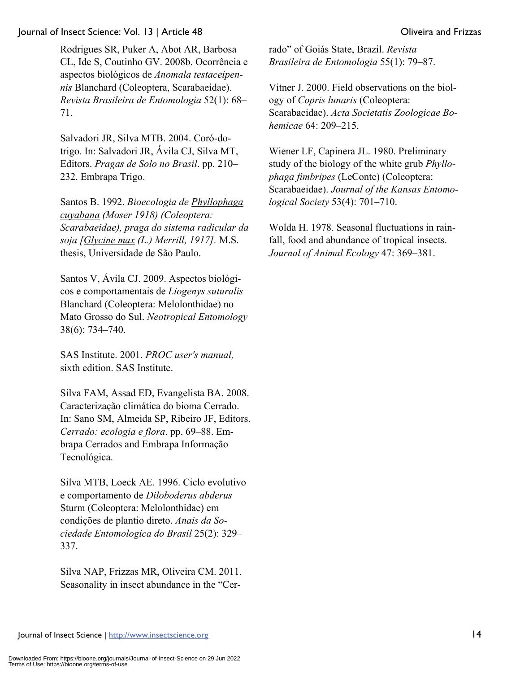Rodrigues SR, Puker A, Abot AR, Barbosa CL, Ide S, Coutinho GV. 2008b. Ocorrência e aspectos biológicos de *Anomala testaceipennis* Blanchard (Coleoptera, Scarabaeidae). *Revista Brasileira de Entomologia* 52(1): 68– 71.

Salvadori JR, Silva MTB. 2004. Coró-dotrigo. In: Salvadori JR, Ávila CJ, Silva MT, Editors. *Pragas de Solo no Brasil*. pp. 210– 232. Embrapa Trigo.

Santos B. 1992. *Bioecologia de Phyllophaga cuyabana (Moser 1918) (Coleoptera: Scarabaeidae), praga do sistema radicular da soja [Glycine max (L.) Merrill, 1917].* M.S. thesis, Universidade de São Paulo.

Santos V, Ávila CJ. 2009. Aspectos biológicos e comportamentais de *Liogenys suturalis* Blanchard (Coleoptera: Melolonthidae) no Mato Grosso do Sul. *Neotropical Entomology* 38(6): 734–740.

SAS Institute. 2001. *PROC user's manual,*  sixth edition. SAS Institute.

Silva FAM, Assad ED, Evangelista BA. 2008. Caracterização climática do bioma Cerrado. In: Sano SM, Almeida SP, Ribeiro JF, Editors. *Cerrado: ecologia e flora*. pp. 69–88. Embrapa Cerrados and Embrapa Informação Tecnológica.

Silva MTB, Loeck AE. 1996. Ciclo evolutivo e comportamento de *Diloboderus abderus* Sturm (Coleoptera: Melolonthidae) em condições de plantio direto. *Anais da Sociedade Entomologica do Brasil* 25(2): 329– 337.

Silva NAP, Frizzas MR, Oliveira CM. 2011. Seasonality in insect abundance in the "Cerrado" of Goiás State, Brazil. *Revista Brasileira de Entomologia* 55(1): 79–87.

Vitner J. 2000. Field observations on the biology of *Copris lunaris* (Coleoptera: Scarabaeidae). *Acta Societatis Zoologicae Bohemicae* 64: 209–215.

Wiener LF, Capinera JL. 1980. Preliminary study of the biology of the white grub *Phyllophaga fimbripes* (LeConte) (Coleoptera: Scarabaeidae). *Journal of the Kansas Entomological Society* 53(4): 701–710.

Wolda H. 1978. Seasonal fluctuations in rainfall, food and abundance of tropical insects. *Journal of Animal Ecology* 47: 369–381.